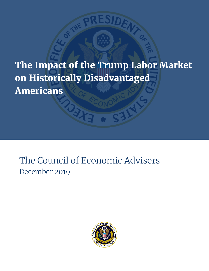# **The Impact of the Trump Labor Market on Historically Disadvantaged Americans**

# The Council of Economic Advisers December 2019

**ROSA** 

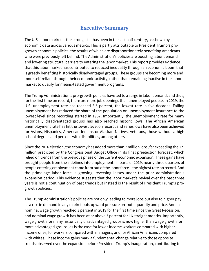## Executive Summary

The U.S. labor market is the strongest it has been in the last half century, as shown by economic data across various metrics. This is partly attributable to President Trump's progrowth economic policies, the results of which are disproportionately benefiting Americans who were previously left behind. The Administration's policies are boosting labor demand and lowering structural barriers to entering the labor market. This report provides evidence that this labor market has contributed to reduced inequality through an economic boom that is greatly benefiting historically disadvantaged groups. These groups are becoming more and more self-reliant through their economic activity, rather than remaining inactive in the labor market to qualify for means-tested government programs.

The Trump Administration's pro-growth policies have led to a surge in labor demand, and thus, for the first time on record, there are more job openings than unemployed people. In 2019, the U.S. unemployment rate has reached 3.5 percent, the lowest rate in five decades. Falling unemployment has reduced the share of the population on unemployment insurance to the lowest level since recording started in 1967. Importantly, the unemployment rate for many historically disadvantaged groups has also reached historic lows. The African American unemployment rate has hit the lowest level on record, and series lows have also been achieved for Asians, Hispanics, American Indians or Alaskan Natives, veterans, those without a high school degree, and persons with disabilities, among others.

Since the 2016 election, the economy has added more than 7 million jobs, far exceeding the 1.9 million predicted by the Congressional Budget Office in its final preelection forecast, which relied on trends from the previous phase of the current economic expansion. These gains have brought people from the sidelines into employment. In parts of 2019, nearly three quarters of people entering employment came from out of the labor force—the highest rate on record. And the prime-age labor force is growing, reversing losses under the prior administration's expansion period. This evidence suggests that the labor market's revival over the past three years is not a continuation of past trends but instead is the result of President Trump's progrowth policies.

The Trump Administration's policies are not only leading to more jobs but also to higher pay, as a rise in demand in any market puts upward pressure on both quantity and price. Annual nominal wage growth reached 3 percent in 2019 for the first time since the Great Recession, and nominal wage growth has been at or above 3 percent for 16 straight months. Importantly, wage growth for many historically disadvantaged groups is now higher than wage growth for more advantaged groups, as is the case for lower-income workers compared with higherincome ones, for workers compared with managers, and for African Americans compared with whites. These income gains mark a fundamental change relative to those opposite trends observed over the expansion before President Trump's inauguration, contributing to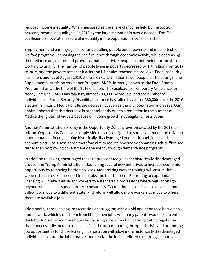reduced income inequality. When measured as the share of income held by the top 20 percent, income inequality fell in 2018 by the largest amount in over a decade. The Gini coefficient, an overall measure of inequality in the population, also fell in 2018.

Employment and earnings gains continue pulling people out of poverty and means-tested welfare programs, increasing their self-reliance through economic activity while decreasing their reliance on government programs that incentivize people to limit their hours or stop working to qualify. The number of people living in poverty decreased by 1.4 million from 2017 to 2018, and the poverty rates for blacks and Hispanics reached record lows. Food insecurity has fallen, and, as of August 2019, there are nearly 7 million fewer people participating in the Supplemental Nutrition Assistance Program (SNAP, formerly known as the Food Stamp Program) than at the time of the 2016 election. The caseload for Temporary Assistance for Needy Families (TANF) has fallen by almost 700,000 individuals, and the number of individuals on Social Security Disability Insurance has fallen by almost 380,000 since the 2016 election. Similarly, Medicaid rolls are decreasing, even as the U.S. population increases. Our analysis shows that this decrease is predominantly due to a reduction in the number of Medicaid-eligible individuals because of income growth, not eligibility restrictions.

Another Administration priority is the Opportunity Zones provision created by the 2017 taxreform. Opportunity Zones are supply-side tax cuts designed to spur investment and drive up labor demand, directly helping historically disadvantaged people through increased economic activity. These zones therefore aim to reduce poverty by enhancing self-sufficiency rather than by growing government dependency through demand-side programs.

In addition to having encouraged these unprecedented gains for historically disadvantaged groups, the Trump Administration is launching several new initiatives to increase economic opportunity by removing barriers to work. Modernizing worker training will ensure that workers have the skills needed to find jobs and build careers. Reforming occupational licensing will make it easier for workers to enter certain professions where regulations go beyond what is necessary to protect consumers. Occupational licensing also makes it more difficult to move to a different State, and reform will allow more workers to move to where there are available jobs.

Additionally, those leaving incarceration or struggling with opioid addiction face barriers to finding work, which stops them from filling open jobs. And many parents would like to enter the labor force or work more hours but face high costs for child care. Updating regulations that unnecessarily increase the cost of child care, combating the opioid crisis, and promoting job opportunities for those leaving incarceration will allow more historically disadvantaged individuals to enter the labor market and realize the full benefits of the strong economy.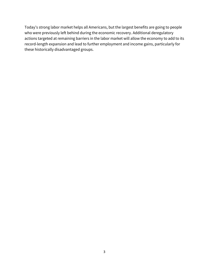Today's strong labor market helps all Americans, but the largest benefits are going to people who were previously left behind during the economic recovery. Additional deregulatory actions targeted at remaining barriers in the labor market will allow the economy to add to its record-length expansion and lead to further employment and income gains, particularly for these historically disadvantaged groups.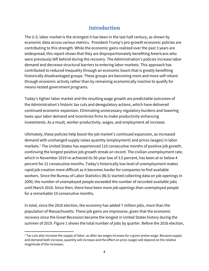## **Introduction**

The U.S. labor market is the strongest it has been in the last half century, as shown by economic data across various metrics. President Trump's pro-growth economic policies are contributing to this strength. While the economic gains realized over the past 3 years are widespread, this report shows that they are disproportionately benefiting Americans who were previously left behind during the recovery. The Administration's policies increase labor demand and decrease structural barriers to entering labor markets. This approach has contributed to reduced inequality through an economic boom that is greatly benefiting historically disadvantaged groups. These groups are becoming more and more self-reliant through economic activity rather than by remaining economically inactive to qualify for means-tested government programs.

Today's tighter labor market and the resulting wage growth are predictable outcomes of the Administration's historic tax cuts and deregulatory actions, which have delivered continued economic expansion. Eliminating unnecessary regulatory burdens and lowering taxes spur labor demand and incentivize firms to make productivity-enhancing investments. As a result, worker productivity, wages, and employment all increase.

Ultimately, these policies help boost the job market's continued expansion, as increased demand with unchanged supply raises quantity (employment) and prices (wages) in labor markets. <sup>1</sup> The United States has experienced 110 consecutive months of positive job growth, continuing the longest positive job growth streak on record. The civilian unemployment rate, which in November 2019 re-achieved its 50-year low of 3.5 percent, has been at or below 4 percent for 21 consecutive months. Today's historically low level of unemployment makes rapid job creation more difficult as it becomes harder for companies to find available workers. Since the Bureau of Labor Statistics (BLS) started collecting data on job openings in 2000, the number of unemployed people exceeded the number of recorded available jobs until March 2018. Since then, there have been more job openings than unemployed people for a remarkable 19 consecutive months.

In total, since the 2016 election, the economy has added 7 million jobs, more than the population of Massachusetts. These job gains are impressive, given that the economic recovery since the Great Recession became the longest in United States history during the summer of 2019. Figure 1 shows the total number of jobs by quarter. Before the 2016 election,

 $1$  Tax cuts also increase the supply of labor, as after-tax wages increase for a given pretax wage. Because supply and demand both increase, quantity will increase and the effect on price (wage) will depend on the relative magnitude of the increases.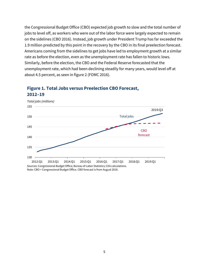the Congressional Budget Office (CBO) expected job growth to slow and the total number of jobs to level off, as workers who were out of the labor force were largely expected to remain on the sidelines (CBO 2016). Instead, job growth under President Trump has far exceeded the 1.9 million predicted by this point in the recovery by the CBO in its final preelection forecast. Americans coming from the sidelines to get jobs have led to employment growth at a similar rate as before the election, even as the unemployment rate has fallen to historic lows. Similarly, before the election, the CBO and the Federal Reserve forecasted that the unemployment rate, which had been declining steadily for many years, would level off at about 4.5 percent, as seen in figure 2 (FOMC 2016).



#### **Figure 1. Total Jobs versus Preelection CBO Forecast, 2012–19**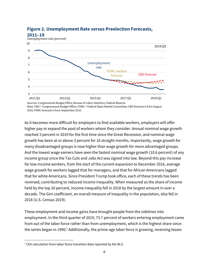

#### **Figure 2. Unemployment Rate versus Preelection Forecasts,**

Sources: Congressional Budget Office; Bureau of Labor Statistics; Federal Reserve. Note: CBO = Congressional Budget Office; FOMC = Federal Open Market Committee; CBO forecast is from August 2016; FOMC forecast is from September 2016.

As it becomes more difficult for employers to find available workers, employers will offer higher pay or expand the pool of workers whom they consider. Annual nominal wage growth reached 3 percent in 2019 for the first time since the Great Recession, and nominal wage growth has been at or above 3 percent for 16 straight months. Importantly, wage growth for many disadvantaged groups is now higher than wage growth for more advantaged groups. And the lowest wage earners have seen the fastest nominal wage growth (10.6 percent) of any income group since the Tax Cuts and Jobs Act was signed into law. Beyond this pay increase for low-income workers, from the start of the current expansion to December 2016, average wage growth for workers lagged that for managers, and that for African Americans lagged that for white Americans. Since President Trump took office, each of these trends has been reversed, contributing to reduced income inequality. When measured as the share of income held by the top 20 percent, income inequality fell in 2018 by the largest amount in over a decade. The Gini coefficient, an overall measure of inequality in the population, also fell in 2018 (U.S. Census 2019).

These employment and income gains have brought people from the sidelines into employment. In the third quarter of 2019, 73.7 percent of workers entering employment came from out of the labor force rather than from unemployment, which is the highest share since the series began in 1990. <sup>2</sup> Additionally, the prime-age labor force is growing, reversing losses

 $\overline{a}$ <sup>2</sup> CEA calculation from labor force transition data reported by the BLS.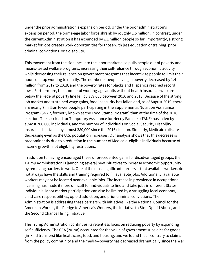under the prior administration's expansion period. Under the prior administration's expansion period, the prime-age labor force shrank by roughly 1.5 million; in contrast, under the current Administration it has expanded by 2.1 million people so far. Importantly, a strong market for jobs creates work opportunities for those with less education or training, prior criminal convictions, or a disability.

This movement from the sidelines into the labor market also pulls people out of poverty and means-tested welfare programs, increasing their self-reliance through economic activity while decreasing their reliance on government programs that incentivize people to limit their hours or stop working to qualify. The number of people living in poverty decreased by 1.4 million from 2017 to 2018, and the poverty rates for blacks and Hispanics reached record lows. Furthermore, the number of working-age adults without health insurance who are below the Federal poverty line fell by 359,000 between 2016 and 2018. Because of the strong job market and sustained wage gains, food insecurity has fallen and, as of August 2019, there are nearly 7 million fewer people participating in the Supplemental Nutrition Assistance Program (SNAP, formerly known as the Food Stamp Program) than at the time of the 2016 election. The caseload for Temporary Assistance for Needy Families (TANF) has fallen by almost 700,000 individuals, and the number of individuals on Social Security Disability Insurance has fallen by almost 380,000 since the 2016 election. Similarly, Medicaid rolls are decreasing even as the U.S. population increases. Our analysis shows that this decrease is predominantly due to a reduction in the number of Medicaid-eligible individuals because of income growth, not eligibility restrictions.

In addition to having encouraged these unprecedented gains for disadvantaged groups, the Trump Administration is launching several new initiatives to increase economic opportunity by removing barriers to work. One of the most significant barriers is that available workers do not always have the skills and training required to fill available jobs. Additionally, available workers may not be located near available jobs. The increase in prevalence in occupational licensing has made it more difficult for individuals to find and take jobs in different States. Individuals' labor market participation can also be limited by a struggling local economy, child care responsibilities, opioid addiction, and prior criminal convictions. The Administration is addressing these barriers with initiatives like the National Council for the American Worker, the Pledge to America's Workers, the Initiative to Stop Opioid Abuse, and the Second Chance Hiring Initiative.

The Trump Administration continues its relentless focus on reducing poverty by expanding self-sufficiency. The CEA (2019a) accounted for the value of government subsidies for goods (in-kind transfers) like healthcare, food, and housing, and we found that—contrary to claims from the policy community and the media—poverty has decreased dramatically since the War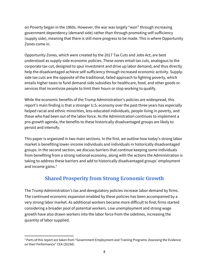on Poverty began in the 1960s. However, the war was largely "won" through increasing government dependency (demand side) rather than through promoting self-sufficiency (supply side), meaning that there is still more progress to be made. This is where Opportunity Zones come in.

Opportunity Zones, which were created by the 2017 Tax Cuts and Jobs Act, are best understood as supply-side economic policies. These zones entail tax cuts, analogous to the corporate tax cut, designed to spur investment and drive up labor demand, and thus directly help the disadvantaged achieve self-sufficiency through increased economic activity. Supplyside tax cuts are the opposite of the traditional, failed approach to fighting poverty, which entails higher taxes to fund demand-side subsidies for healthcare, food, and other goods or services that incentivize people to limit their hours or stop working to qualify.

While the economic benefits of the Trump Administration's policies are widespread, this report's main finding is that a stronger U.S. economy over the past three years has especially helped racial and ethnic minorities, less-educated individuals, people living in poverty, and those who had been out of the labor force. As the Administration continues to implement a pro-growth agenda, the benefits to these historically disadvantaged groups are likely to persist and intensify.

This paper is organized in two main sections. In the first, we outline how today's strong labor market is benefiting lower-income individuals and individuals in historically disadvantaged groups. In the second section, we discuss barriers that continue keeping some individuals from benefiting from a strong national economy, along with the actions the Administration is taking to address these barriers and add to historically disadvantaged groups' employment and income gains.<sup>3</sup>

## Shared Prosperity from Strong Economic Growth

The Trump Administration's tax and deregulatory policies increase labor demand by firms. The continued economic expansion enabled by these policies has been accompanied by a very strong labor market. As additional workers became more difficult to find, firms started considering a broader pool of potential workers. Low unemployment and strong wage growth have also drawn workers into the labor force from the sidelines, increasing the quantity of labor supplied.

<sup>&</sup>lt;sup>3</sup> Parts of this report are taken from "Government Employment and Training Programs: Assessing the Evidence on their Performance" CEA (2019d).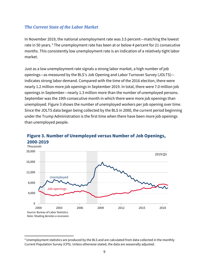#### *The Current State of the Labor Market*

In November 2019, the national unemployment rate was 3.5 percent—matching the lowest rate in 50 years.<sup>4</sup> The unemployment rate has been at or below 4 percent for 21 consecutive months. This consistently low unemployment rate is an indication of a relatively tight labor market.

Just as a low unemployment rate signals a strong labor market, a high number of job openings—as measured by the BLS's Job Opening and Labor Turnover Survey (JOLTS) indicates strong labor demand. Compared with the time of the 2016 election, there were nearly 1.2 million more job openings in September 2019. In total, there were 7.0 million job openings in September—nearly 1.3 million more than the number of unemployed persons. September was the 19th consecutive month in which there were more job openings than unemployed. Figure 3 shows the number of unemployed workers per job opening over time. Since the JOLTS data began being collected by the BLS in 2000, the current period beginning under the Trump Administration is the first time when there have been more job openings than unemployed people.



### **Figure 3. Number of Unemployed versus Number of Job Openings, 2000-2019**

<sup>4</sup> Unemployment statistics are produced by the BLS and are calculated from data collected in the monthly Current Population Survey (CPS). Unless otherwise stated, the data are seasonally adjusted.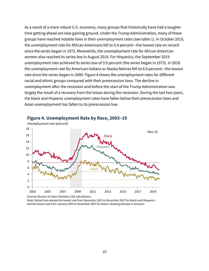As a result of a more robust U.S. economy, many groups that historically have had a tougher time getting ahead are now gaining ground. Under the Trump Administration, many of these groups have reached notable lows in their unemployment rates (see table 1). In October 2019, the unemployment rate for African Americans fell to 5.4 percent—the lowest rate on record since the series began in 1972. Meanwhile, the unemployment rate for African American women also reached its series low in August 2019. For Hispanics, the September 2019 unemployment rate achieved its series low of 3.9 percent (the series began in 1973). In 2018 the unemployment rate for American Indians or Alaska Natives fell to 6.6 percent—the lowest rate since the series began in 2000. Figure 4 shows the unemployment rates for different racial and ethnic groups compared with their prerecession lows. The decline in unemployment after the recession and before the start of the Trump Administration was largely the result of a recovery from the losses during the recession. During the last two years, the black and Hispanic unemployment rates have fallen below their prerecession lows and Asian unemployment has fallen to its prerecession low.



#### **Figure 4. Unemployment Rate by Race, 2003–19**

Note: Dotted lines denote the lowest rate from December 2001 to November 2007 for blacks and Hispanics and the lowest rate from January 2003 to November 2007 for Asians. Shading denotes a recession.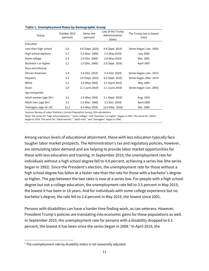| Group                 | October 2019<br>(percent) | Series low<br>(percent) | Low of the Trump<br>Administration<br>(date) | The Trump low is lowest<br>since |
|-----------------------|---------------------------|-------------------------|----------------------------------------------|----------------------------------|
| Education             |                           |                         |                                              |                                  |
| Less than high school | 5.6                       | 4.8 (Sept. 2019)        | 4.8 (Sept. 2019)                             | Series began (Jan. 1992)         |
| High school diploma   | 3.7                       | 3.2 (Nov. 1999)         | 3.5 (May 2019)                               | <b>July 2000</b>                 |
| Some college          | 2.9                       | 2.4 (Oct. 2000)         | 2.8 (May 2019)                               | Mar. 2001                        |
| Bachelor's or higher  | 2.1                       | 1.5 (Dec. 2000)         | 2.0 (Sept. 2019)                             | April 2007                       |
| Race and ethnicity    |                           |                         |                                              |                                  |
| African American      | 5.4                       | 5.4 (Oct. 2019)         | 5.4 (Oct. 2019)                              | Series began (Jan. 1972)         |
| Hispanic              | 4.1                       | 3.9 (Sept. 2019)        | 3.9 (Sept. 2019)                             | Series began (Mar. 1973)         |
| White                 | 3.2                       | 3.0 (May 1969)          | 3.1 (April 2019)                             | May 1969                         |
| Asian                 | 2.9                       | 2.1 (June 2019)         | 2.1 (June 2019)                              | Series began (Jan. 2003)         |
| Age and gender        |                           |                         |                                              |                                  |
| Adult women (age 20+) | 3.2                       | 2.4 (May 1953)          | 3.1 (Sept. 2019)                             | Aug. 1953                        |
| Adult men (age 20+)   | 3.2                       | 1.9 (Mar. 1969)         | 3.2 (Oct. 2019)                              | April 2000                       |
| Teenagers (age 16-19) | 12.3                      | 6.4 (May 1953)          | 12.0 (Nov. 2018)                             | Dec. 1969                        |

#### **Table 1. Unemployment Rates by Demographic Group**

Sources: Bureau of Labor Statistics, Current Population Survey; CEA calculations.

Note: The series for "high school diploma," "some college," and "bachelor's or higher" began in 1992. The series for "white" began in 1954. The series for "adult women," "adult men," and "teenagers" began in 1948.

Among various levels of educational attainment, those with less education typically face tougher labor market prospects. The Administration's tax and regulatory policies, however, are stimulating labor demand and are helping to provide labor market opportunities for those with less education and training. In September 2019, the unemployment rate for individuals without a high school degree fell to 4.8 percent, achieving a series low (the series began in 1992). Since the President's election, the unemployment rate for those without a high school degree has fallen at a faster rate than the rate for those with a bachelor's degree or higher. The gap between the two rates is now at a series low. For people with a high school degree but not a college education, the unemployment rate fell to 3.5 percent in May 2019, the lowest it has been in 18 years. And for individuals with some college experience but no bachelor's degree, the rate fell to 2.8 percent in May 2019, the lowest since 2001.

Persons with disabilities can have a harder time finding work, as can veterans. However, President Trump's policies are translating into economic gains for these populations as well. In September 2019, the unemployment rate for persons with a disability dropped to 6.1 percent, the lowest it has been since the series began in 2008.<sup>5</sup> In April 2019, the

 $\overline{a}$ 

<sup>&</sup>lt;sup>5</sup> The unemployment rate by disability status is not seasonally adjusted.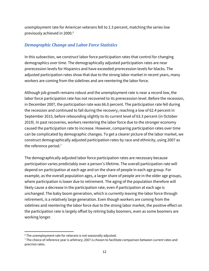unemployment rate for American veterans fell to 2.3 percent, matching the series low previously achieved in 2000.<sup>6</sup>

#### *Demographic Change and Labor Force Statistics*

In this subsection, we construct labor force participation rates that control for changing demographics over time. The demographically adjusted participation rates are near prerecession levels for Hispanics and have exceeded prerecession levels for blacks. The adjusted participation rates show that due to the strong labor market in recent years, many workers are coming from the sidelines and are reentering the labor force.

Although job growth remains robust and the unemployment rate is near a record low, the labor force participation rate has not recovered to its prerecession level. Before the recession, in December 2007, the participation rate was 66.0 percent. The participation rate fell during the recession and continued to fall during the recovery, reaching a low of 62.4 percent in September 2015, before rebounding slightly to its current level of 63.3 percent (in October 2019). In past recoveries, workers reentering the labor force due to the stronger economy caused the participation rate to increase. However, comparing participation rates over time can be complicated by demographic changes. To get a clearer picture of the labor market, we construct demographically adjusted participation rates by race and ethnicity, using 2007 as the reference period.<sup>7</sup>

The demographically adjusted labor force participation rates are necessary because participation varies predictably over a person's lifetime. The overall participation rate will depend on participation at each age and on the share of people in each age group. For example, as the overall population ages, a larger share of people are in the older age groups, where participation is lower due to retirement. The aging of the population therefore will likely cause a decrease in the participation rate, even if participation at each age is unchanged. The baby boom generation, which is currently leaving the labor force through retirement, is a relatively large generation. Even though workers are coming from the sidelines and reentering the labor force due to the strong labor market, the positive effect on the participation rate is largely offset by retiring baby boomers, even as some boomers are working longer.

<sup>&</sup>lt;sup>6</sup> The unemployment rate for veterans is not seasonally adjusted.

 $^7$  The choice of reference year is arbitrary; 2007 is chosen to facilitate comparison between current rates and precrisis rates.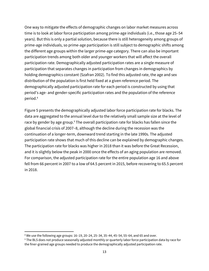One way to mitigate the effects of demographic changes on labor market measures across time is to look at labor force participation among prime-age individuals (i.e., those age 25–54 years). But this is only a partial solution, because there is still heterogeneity among groups of prime-age individuals, so prime-age participation is still subject to demographic shifts among the different age groups within the larger prime-age category. There can also be important participation trends among both older and younger workers that will affect the overall participation rate. Demographically adjusted participation rates are a single measure of participation that separates changes in participation from changes in demographics by holding demographics constant (Szafran 2002). To find this adjusted rate, the age and sex distribution of the population is first held fixed at a given reference period. The demographically adjusted participation rate for each period is constructed by using that period's age- and gender-specific participation rates and the population of the reference period.<sup>8</sup>

Figure 5 presents the demographically adjusted labor force participation rate for blacks. The data are aggregated to the annual level due to the relatively small sample size at the level of race by gender by age group.<sup>9</sup> The overall participation rate for blacks has fallen since the global financial crisis of 2007–8, although the decline during the recession was the continuation of a longer-term, downward trend starting in the late 1990s. The adjusted participation rate shows that much of this decline can be explained by demographic changes. The participation rate for blacks was higher in 2018 than it was before the Great Recession, and it is slightly below the peak in 2000 once the effects of an aging population are removed. For comparison, the adjusted participation rate for the entire population age 16 and above fell from 66 percent in 2007 to a low of 64.5 percent in 2015, before recovering to 65.5 percent in 2018.

 $8$  We use the following age groups:  $16-19$ ,  $20-24$ ,  $25-34$ ,  $35-44$ ,  $45-54$ ,  $55-64$ , and  $65$  and over.

<sup>9</sup> The BLS does not produce seasonally adjusted monthly or quarterly labor force participation data by race for the finer-grained age groups needed to produce the demographically adjusted participation rate.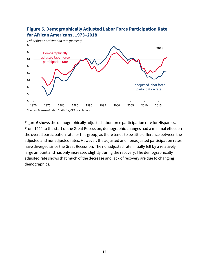## **Figure 5. Demographically Adjusted Labor Force Participation Rate for African Americans, 1973–2018**



Figure 6 shows the demographically adjusted labor force participation rate for Hispanics. From 1994 to the start of the Great Recession, demographic changes had a minimal effect on the overall participation rate for this group, as there tends to be little difference between the adjusted and nonadjusted rates. However, the adjusted and nonadjusted participation rates have diverged since the Great Recession. The nonadjusted rate initially fell by a relatively large amount and has only increased slightly during the recovery. The demographically adjusted rate shows that much of the decrease and lack of recovery are due to changing demographics.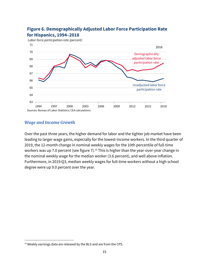## **Figure 6. Demographically Adjusted Labor Force Participation Rate for Hispanics, 1994–2018**



# *Wage and Income Growth*

 $\overline{a}$ 

Over the past three years, the higher demand for labor and the tighter job market have been leading to larger wage gains, especially for the lowest-income workers. In the third quarter of 2019, the 12-month change in nominal weekly wages for the 10th percentile of full-time workers was up 7.0 percent (see figure 7). <sup>10</sup> This is higher than the year-over-year change in the nominal weekly wage for the median worker (3.6 percent), and well above inflation. Furthermore, in 2019:Q3, median weekly wages for full-time workers without a high school degree were up 9.0 percent over the year.

<sup>&</sup>lt;sup>10</sup> Weekly earnings data are released by the BLS and are from the CPS.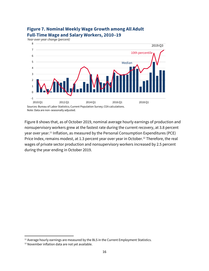## **Figure 7. Nominal Weekly Wage Growth among All Adult Full-Time Wage and Salary Workers, 2010–19**

*Year-over-year change (percent)*



Figure 8 shows that, as of October 2019, nominal average hourly earnings of production and nonsupervisory workers grew at the fastest rate during the current recovery, at 3.8 percent year over year.<sup>11</sup> Inflation, as measured by the Personal Consumption Expenditures (PCE) Price Index, remains modest, at 1.3 percent year over year in October.<sup>12</sup> Therefore, the real wages of private sector production and nonsupervisory workers increased by 2.5 percent during the year ending in October 2019.

<sup>&</sup>lt;sup>11</sup> Average hourly earnings are measured by the BLS in the Current Employment Statistics.

<sup>&</sup>lt;sup>12</sup> November inflation data are not yet available.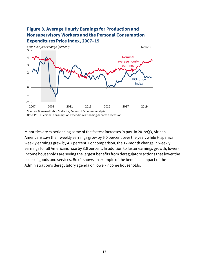## **Figure 8. Average Hourly Earnings for Production and Nonsupervisory Workers and the Personal Consumption Expenditures Price Index, 2007–19**



Minorities are experiencing some of the fastest increases in pay. In 2019:Q3, African Americans saw their weekly earnings grow by 6.0 percent over the year, while Hispanics' weekly earnings grew by 4.2 percent. For comparison, the 12-month change in weekly earnings for all Americans rose by 3.6 percent. In addition to faster earnings growth, lowerincome households are seeing the largest benefits from deregulatory actions that lower the costs of goods and services. Box 1 shows an example of the beneficial impact of the Administration's deregulatory agenda on lower-income households.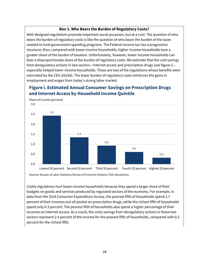#### **Box 1. Who Bears the Burden of Regulatory Costs?**

Well-designed regulations promote important social purposes, but at a cost. The question of who bears the burden of regulatory costs is like the question of who bears the burden of the taxes needed to fund government spending programs. The Federal income tax has a progressive structure; thus, compared with lower-income households, higher-income households bear a greater share of the burden of taxation. Unfortunately, however, lower-income households can bear a disproportionate share of the burden of regulatory costs. We estimate that the cost savings from deregulatory actions in two sectors—Internet access and prescription drugs (see figure i) especially helped lower-income households. These are two of the regulations whose benefits were estimated by the CEA (2019d). The lower burden of regulatory costs reinforces the gains in employment and wages from today's strong labor market.

### **Figure i. Estimated Annual Consumer Savings on Prescription Drugs and Internet Access by Household Income Quintile**



Sources: Bureau of Labor Statistics; Bureau of Economic Analysis; CEA calculations.

Costly regulations hurt lower-income households because they spend a larger share of their budgets on goods and services produced by regulated sectors of the economy. For example, in data from the 2018 Consumer Expenditure Survey, the poorest fifth of households spend 2.7 percent of their incomes out-of-pocket on prescription drugs, while the richest fifth of households spend only 0.3 percent. The poorest fifth of households also spend a higher percentage of their incomes on Internet access. As a result, the costs savings from deregulatory actions in these two sectors represent 2.4 percent of the income for the poorest fifth of households, compared with 0.3 percent for the richest fifth.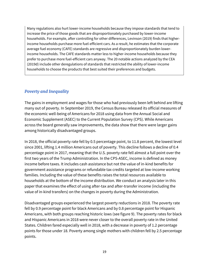Many regulations also hurt lower-income households because they impose standards that tend to increase the price of those goods that are disproportionately purchased by lower-income households. For example, after controlling for other differences, Levinson (2019) finds that higherincome households purchase more fuel-efficient cars. As a result, he estimates that the corporate average fuel economy (CAFE) standards are regressive and disproportionately burden lowerincome households. The CAFE standards matter less to higher-income households because they prefer to purchase more fuel-efficient cars anyway. The 20 notable actions analyzed by the CEA (2019d) include other deregulations of standards that restricted the ability of lower-income households to choose the products that best suited their preferences and budgets.

#### *Poverty and Inequality*

The gains in employment and wages for those who had previously been left behind are lifting many out of poverty. In September 2019, the Census Bureau released its official measures of the economic well-being of Americans for 2018 using data from the Annual Social and Economic Supplement (ASEC) to the Current Population Survey (CPS). While Americans across the board generally saw improvements, the data show that there were larger gains among historically disadvantaged groups.

In 2018, the official poverty rate fell by 0.5 percentage point, to 11.8 percent, the lowest level since 2001, lifting 1.4 million Americans out of poverty. This decline follows a decline of 0.4 percentage point in 2017, meaning that the U.S. poverty rate fell almost a full point over the first two years of the Trump Administration. In the CPS-ASEC, income is defined as money income before taxes. It includes cash assistance but not the value of in-kind benefits for government assistance programs or refundable tax credits targeted at low-income working families. Including the value of these benefits raises the total resources available to households at the bottom of the income distribution. We conduct an analysis later in this paper that examines the effect of using after-tax and after-transfer income (including the value of in-kind transfers) on the changes in poverty during the Administration.

Disadvantaged groups experienced the largest poverty reductions in 2018. The poverty rate fell by 0.9 percentage point for black Americans and by 0.8 percentage point for Hispanic Americans, with both groups reaching historic lows (see figure 9). The poverty rates for black and Hispanic Americans in 2018 were never closer to the overall poverty rate in the United States. Children fared especially well in 2018, with a decrease in poverty of 1.2 percentage points for those under 18. Poverty among single mothers with children fell by 2.5 percentage points.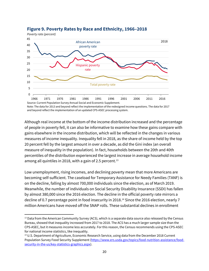

#### **Figure 9. Poverty Rates by Race and Ethnicity, 1966–2018**

Source: Current Population Survey Annual Social and Economic Supplement. Note: The data for 2013 and beyond reflect the implementation of the redesigned income questions. The data for 2017 and beyond reflect the implementation of an updated CPS-ASEC processing system.

Although real income at the bottom of the income distribution increased and the percentage of people in poverty fell, it can also be informative to examine how these gains compare with gains elsewhere in the income distribution, which will be reflected in the changes in various measures of income inequality. Inequality fell in 2018, as the share of income held by the top 20 percent fell by the largest amount in over a decade, as did the Gini index (an overall measure of inequality in the population). In fact, households between the 20th and 40th percentiles of the distribution experienced the largest increase in average household income among all quintiles in 2018, with a gain of 2.5 percent.<sup>13</sup>

Low unemployment, rising incomes, and declining poverty mean that more Americans are becoming self-sufficient. The caseload for Temporary Assistance for Needy Families (TANF) is on the decline, falling by almost 700,000 individuals since the election, as of March 2019. Meanwhile, the number of individuals on Social Security Disability Insurance (SSDI) has fallen by almost 380,000 since the 2016 election. The decline in the official poverty rate mirrors a decline of 0.7 percentage point in food insecurity in 2018. <sup>14</sup> Since the 2016 election, nearly 7 million Americans have moved off the SNAP rolls. These substantial declines in enrollment

<sup>&</sup>lt;sup>13</sup> Data from the American Community Survey (ACS), which is a separate data source also released by the Census Bureau, showed that inequality increased from 2017 to 2018. The ACS has a much larger sample size than the CPS-ASEC, but it measures income less accurately. For this reason, the Census recommends using the CPS-ASEC for national income statistics, like inequality.

<sup>&</sup>lt;sup>14</sup> U.S. Department of Agriculture, Economic Research Service, using data from the December 2018 Current Population Survey Food Security Supplement [\(https://www.ers.usda.gov/topics/food-nutrition-assistance/food](https://www.ers.usda.gov/topics/food-nutrition-assistance/food-security-in-the-us/key-statistics-graphics.aspx)[security-in-the-us/key-statistics-graphics.aspx\)](https://www.ers.usda.gov/topics/food-nutrition-assistance/food-security-in-the-us/key-statistics-graphics.aspx).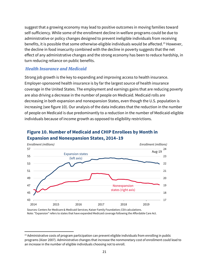suggest that a growing economy may lead to positive outcomes in moving families toward self-sufficiency. While some of the enrollment decline in welfare programs could be due to administrative or policy changes designed to prevent ineligible individuals from receiving benefits, it is possible that some otherwise-eligible individuals would be affected. <sup>15</sup> However, the decline in food insecurity combined with the decline in poverty suggests that the net effect of any administrative changes and the strong economy has been to reduce hardship, in turn reducing reliance on public benefits.

#### *Health Insurance and Medicaid*

 $\overline{\phantom{a}}$ 

Strong job growth is the key to expanding and improving access to health insurance. Employer-sponsored health insurance is by far the largest source of health insurance coverage in the United States. The employment and earnings gains that are reducing poverty are also driving a decrease in the number of people on Medicaid. Medicaid rolls are decreasing in both expansion and nonexpansion States, even though the U.S. population is increasing (see figure 10). Our analysis of the data indicates that the reduction in the number of people on Medicaid is due predominantly to a reduction in the number of Medicaid-eligible individuals because of income growth as opposed to eligibility restrictions.



#### **Figure 10. Number of Medicaid and CHIP Enrollees by Month in Expansion and Nonexpansion States, 2014–19**

Sources: Centers for Medicare & Medicaid Services; Kaiser Family Foundation; CEA calculations. Note: "Expansion" refers to states that have expanded Medicaid coverage following the Affordable Care Act.

<sup>&</sup>lt;sup>15</sup> Administrative costs of program participation can prevent eligible individuals from enrolling in public programs (Aizer 2007). Administrative changes that increase the nonmonetary cost of enrollment could lead to an increase in the number of eligible individuals choosing not to enroll.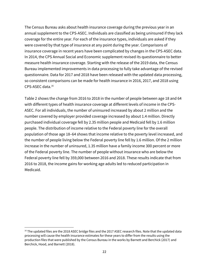The Census Bureau asks about health insurance coverage during the previous year in an annual supplement to the CPS-ASEC. Individuals are classified as being uninsured if they lack coverage for the entire year. For each of the insurance types, individuals are asked if they were covered by that type of insurance at any point during the year. Comparisons of insurance coverage in recent years have been complicated by changes in the CPS-ASEC data. In 2014, the CPS Annual Social and Economic supplement revised its questionnaire to better measure health insurance coverage. Starting with the release of the 2019 data, the Census Bureau implemented improvements in data processing to fully take advantage of the revised questionnaire. Data for 2017 and 2018 have been released with the updated data processing, so consistent comparisons can be made for health insurance in 2016, 2017, and 2018 using CPS-ASEC data.<sup>16</sup>

Table 2 shows the change from 2016 to 2018 in the number of people between age 18 and 64 with different types of health insurance coverage at different levels of income in the CPS-ASEC. For all individuals, the number of uninsured increased by about 2 million and the number covered by employer provided coverage increased by about 1.4 million. Directly purchased individual coverage fell by 2.35 million people and Medicaid fell by 1.6 million people. The distribution of income relative to the Federal poverty line for the overall population of those age 18–64 shows that income relative to the poverty level increased, and the number of people living below the Federal poverty line fell by 1.6 million. Of the 2 million increase in the number of uninsured, 1.35 million have a family income 300 percent or more of the Federal poverty line. The number of people without insurance who are below the Federal poverty line fell by 359,000 between 2016 and 2018. These results indicate that from 2016 to 2018, the income gains for working age adults led to reduced participation in Medicaid.

<sup>&</sup>lt;sup>16</sup> The updated files are the 2018 ASEC bridge files and the 2017 ASEC research files. Note that the updated data processing will cause the health insurance estimates for these years to differ from the results using the production files that were published by the Census Bureau in the works by Barnett and Berchick (2017) and Berchick, Hood, and Barnett (2018).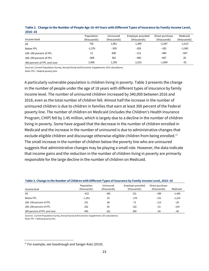|                             | Population  | Uninsured   | Employer provided | Direct purchase | Medicaid    |
|-----------------------------|-------------|-------------|-------------------|-----------------|-------------|
| Income level                | (thousands) | (thousands) | (thousands)       | (thousands)     | (thousands) |
| All                         | 736         | 1,961       | 1,369             | $-2.347$        | $-1,613$    |
| <b>Below FPL</b>            | $-1.576$    | $-359$      | $-283$            | $-182$          | $-1,042$    |
| 100-199 percent of FPL      | 12          | 608         | $-121$            | $-494$          | $-507$      |
| 200-299 percent of FPL      | $-608$      | 362         | $-460$            | $-667$          | 26          |
| 300 percent of FPL and over | 2.066       | 1,350       | 2,233             | $-1,004$        | $-91$       |

| Table 2. Change in the Number of People Age 18-64 Years with Different Types of Insurance by Family Income Level, |
|-------------------------------------------------------------------------------------------------------------------|
| $2016 - 18$                                                                                                       |

Sources: Current Population Survey, Annual Social and Economic Supplement; CEA calculations.

Note: FPL = federal poverty line.

A particularly vulnerable population is children living in poverty. Table 3 presents the change in the number of people under the age of 18 years with different types of insurance by family income level. The number of uninsured children increased by 340,000 between 2016 and 2018, even as the total number of children fell. Almost half the increase in the number of uninsured children is due to children in families that earn at least 300 percent of the Federal poverty line. The number of children on Medicaid (includes the Children's Health Insurance Program, CHIP) fell by 1.45 million, which is largely due to a decline in the number of children living in poverty. Some have argued that the decrease in the number of children enrolled in Medicaid and the increase in the number of uninsured is due to administrative changes that exclude eligible children and discourage otherwise-eligible children from being enrolled.<sup>17</sup> The small increase in the number of children below the poverty line who are uninsured suggests that administrative changes may be playing a small role. However, the data indicate that income gains and the reduction in the number of children living in poverty are primarily responsible for the large decline in the number of children on Medicaid.

| Income level                | Population<br>(thousands) | Uninsured<br>(thousands) | Employer provided<br>(thousands) | Direct purchase<br>(thousands) | Medicaid |
|-----------------------------|---------------------------|--------------------------|----------------------------------|--------------------------------|----------|
| All                         | $-423$                    | 340                      | 231                              | $-389$                         | $-1,445$ |
| <b>Below FPL</b>            | $-1.351$                  | 25                       | $-270$                           | $-131$                         | $-1,223$ |
| 100-199 percent of FPL      | 231                       | 68                       | 73                               | $-113$                         | $-28$    |
| 200-299 percent of FPL      | 202                       | 85                       | 120                              | $-53$                          | $-154$   |
| 300 percent of FPL and over | 495                       | 162                      | 309                              | $-94$                          | $-40$    |

| Table 3. Change in the Number of Children with Different Types of Insurance by Family Income Level, 2016-18 |  |
|-------------------------------------------------------------------------------------------------------------|--|
|                                                                                                             |  |

Sources: Current Population Survey, Annual Social and Economic Supplement; CEA calculations. Note: FPL = federal poverty line.

 $\overline{a}$ 

<sup>&</sup>lt;sup>17</sup> For example, see Goodnough and Sanger-Katz (2019).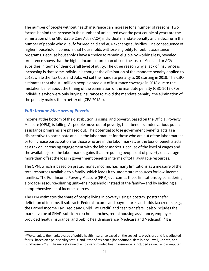The number of people without health insurance can increase for a number of reasons. Two factors behind the increase in the number of uninsured over the past couple of years are the elimination of the Affordable Care Act's (ACA) individual mandate penalty and a decline in the number of people who qualify for Medicaid and ACA exchange subsidies. One consequence of higher household incomes is that households will lose eligibility for public assistance programs. Because households have a choice to remain eligible by working less, revealed preference shows that the higher income more than offsets the loss of Medicaid or ACA subsidies in terms of their overall level of utility. The other reason why a lack of insurance is increasing is that some individuals thought the elimination of the mandate penalty applied to 2018, while the Tax Cuts and Jobs Act set the mandate penalty to \$0 starting in 2019. The CBO estimates that about 1 million people opted out of insurance coverage in 2018 due to the mistaken belief about the timing of the elimination of the mandate penalty (CBO 2019). For individuals who were only buying insurance to avoid the mandate penalty, the elimination of the penalty makes them better off (CEA 2018b).

### *Full-Income Measures of Poverty*

 $\overline{\phantom{a}}$ 

Income at the bottom of the distribution is rising, and poverty, based on the Official Poverty Measure (OPM), is falling. As people move out of poverty, their benefits under various public assistance programs are phased out. The potential to lose government benefits acts as a disincentive to participate at all in the labor market for those who are out of the labor market or to increase participation for those who are in the labor market, as the loss of benefits acts as a tax on increasing engagement with the labor market. Because of the level of wages and the available jobs, the labor market gains that are pulling people out of poverty on average more than offset the loss in government benefits in terms of total available resources.

The OPM, which is based on pretax money income, has many limitations as a measure of the total resources available to a family, which leads it to understate resources for low-income families. The Full-Income Poverty Measure (FPM) overcomes these limitations by considering a broader resource-sharing unit—the household instead of the family—and by including a comprehensive set of income sources.

The FPM estimates the share of people living in poverty using a posttax, posttransfer definition of income. It subtracts Federal income and payroll taxes and adds tax credits (e.g., the Earned Income Tax Credit and Child Tax Credit) and cash transfers. It also includes the market value of SNAP, subsidized school lunches, rental housing assistance, employerprovided health insurance, and public health insurance (Medicare and Medicaid).<sup>18</sup> It is

 $18$  We calculate the market value of public health insurance based on the cost of its provision, and it is adjusted for risk based on age, disability status, and State of residence (for additional details, see Elwell, Corinth, and Burkhauser 2019). The market value of employer-provided health insurance is included as well, and is imputed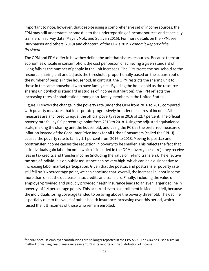important to note, however, that despite using a comprehensive set of income sources, the FPM may still understate income due to the underreporting of income sources and especially transfers in survey data (Meyer, Mok, and Sullivan 2015). For more details on the FPM, see Burkhauser and others (2019) and chapter 9 of the CEA's 2019 *Economic Report of the President*.

The OPM and FPM differ in how they define the unit that shares resources. Because there are economies of scale in consumption, the cost per person of achieving a given standard of living falls as the number of people in the unit increases. The FPM treats the household as the resource-sharing unit and adjusts the thresholds proportionally based on the square root of the number of people in the household. In contrast, the OPM restricts the sharing unit to those in the same household who have family ties. By using the household as the resourcesharing unit (which is standard in studies of income distribution), the FPM reflects the increasing rates of cohabitation among non–family members in the United States.

Figure 11 shows the change in the poverty rate under the OPM from 2016 to 2018 compared with poverty measures that incorporate progressively broader measures of income. All measures are anchored to equal the official poverty rate in 2016 of 12.7 percent. The official poverty rate fell by 0.9 percentage point from 2016 to 2018. Using the adjusted equivalence scale, making the sharing unit the household, and using the PCE as the preferred measure of inflation instead of the Consumer Price Index for All Urban Consumers (called the CPI-U) caused the poverty rate to fall by 1.1 percent from 2016 to 2018. Moving to posttax and posttransfer income causes the reduction in poverty to be smaller. This reflects the fact that as individuals gain labor income (which is included in the OPM poverty measure), they receive less in tax credits and transfer income (including the value of in-kind transfers).The effective tax rate of individuals on public assistance can be very high, which can be a disincentive to increasing labor market participation. Given that the posttax and posttransfer poverty rate still fell by 0.6 percentage point, we can conclude that, overall, the increase in labor income more than offset the decrease in tax credits and transfers. Finally, including the value of employer-provided and publicly provided health insurance leads to an even larger decline in poverty, of 1.4 percentage points. This occurred even as enrollment in Medicaid fell, because the individuals losing coverage tended to be living above the poverty threshold. The decline is partially due to the value of public health insurance increasing over this period, which raised the full incomes of those who remain enrolled.

for 2018 because employer contributions are no longer reported in the CPS-ASEC. The CBO has used a similar method for valuing health insurance since 2013 in its reports on the distribution of income.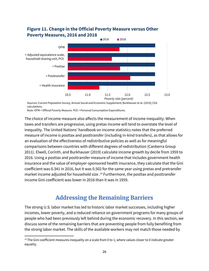### **Figure 11. Change in the Official Poverty Measure versus Other Poverty Measures, 2016 and 2018**



calculations. Note: OPM = Official Poverty Measure. PCE = Personal Consumption Expenditures.

The choice of income measure also affects the measurement of income inequality. When taxes and transfers are progressive, using pretax income will tend to overstate the level of inequality. The United Nations' handbook on income statistics notes that the preferred measure of income is posttax and posttransfer (including in-kind transfers), as that allows for an evaluation of the effectiveness of redistributive policies as well as for meaningful comparisons between countries with different degrees of redistribution (Canberra Group 2011). Elwell, Corinth, and Burkhauser (2019) calculate income growth by decile from 1959 to 2016. Using a posttax and posttransfer measure of income that includes government health insurance and the value of employer-sponsored health insurance, they calculate that the Gini coefficient was 0.341 in 2016, but it was 0.502 for the same year using pretax and pretransfer market income adjusted for household size .<sup>19</sup> Furthermore, the posttax and posttransfer income Gini coefficient was lower in 2016 than it was in 1959.

# Addressing the Remaining Barriers

The strong U.S. labor market has led to historic labor market successes, including higher incomes, lower poverty, and a reduced reliance on government programs for many groups of people who had been previously left behind during the economic recovery. In this section, we discuss some of the remaining barriers that are preventing people from fully benefiting from the strong labor market. The skills of the available workers may not match those needed by

 $19$  The Gini coefficient measures inequality on a scale from 0 to 1, where values closer to 0 indicate greater equality.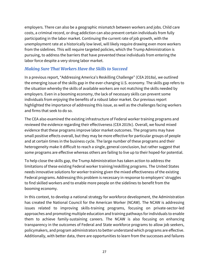employers. There can also be a geographic mismatch between workers and jobs. Child care costs, a criminal record, or drug addiction can also prevent certain individuals from fully participating in the labor market. Continuing the current rate of job growth, with the unemployment rate at a historically low level, will likely require drawing even more workers from the sidelines. This will require targeted policies, which the Trump Administration is pursuing, to address the barriers that have prevented these individuals from entering the labor force despite a very strong labor market.

#### *Making Sure That Workers Have the Skills to Succeed*

In a previous report, "Addressing America's Reskilling Challenge" (CEA 2018a), we outlined the emerging issue of the skills gap in the ever-changing U.S. economy. The skills gap refers to the situation whereby the skills of available workers are not matching the skills needed by employers. Even in a booming economy, the lack of necessary skills can prevent some individuals from enjoying the benefits of a robust labor market. Our previous report highlighted the importance of addressing this issue, as well as the challenges facing workers and firms that seek to do so.

The CEA also examined the existing infrastructure of Federal worker training programs and reviewed the evidence regarding their effectiveness (CEA 2019c). Overall, we found mixed evidence that these programs improve labor market outcomes. The programs may have small positive effects overall, but they may be more effective for particular groups of people and at certain times in the business cycle. The large number of these programs and their heterogeneity make it difficult to reach a single, general conclusion, but rather suggest that some programs are effective whereas others are failing to live up to their hoped-for potential.

To help close the skills gap, the Trump Administration has taken action to address the limitations of these existing Federal worker training/reskilling programs. The United States needs innovative solutions for worker training given the mixed effectiveness of the existing Federal programs. Addressing this problem is necessary in response to employers' struggles to find skilled workers and to enable more people on the sidelines to benefit from the booming economy.

In this context, to develop a national strategy for workforce development, the Administration has created the National Council for the American Worker (NCAW). The NCAW is addressing issues related to improving skills-training programs, focusing on private-sector-led approaches and promoting multiple education and training pathways for individuals to enable them to achieve family-sustaining careers. The NCAW is also focusing on enhancing transparency in the outcomes of Federal and State workforce programs to allow job seekers, policymakers, and program administrators to better understand which programs are effective. Additionally, with better data, there are opportunities to learn from the successes and failures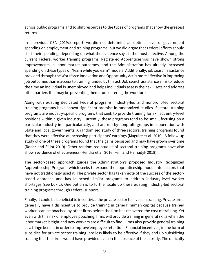across public programs and to shift resources to the types of programs that show the greatest returns.

In a previous CEA (2019c) report, we did not determine an optimal level of government spending on employment and training programs, but we did argue that Federal efforts should shift their spending, depending on what the evidence says is the most effective. Among the current Federal worker training programs, Registered Apprenticeships have shown strong improvements in labor market outcomes, and the Administration has already increased spending on these types of "learn while you earn" models. Additionally, job search assistance provided through the Workforce Innovation and Opportunity Act is more effective in improving job outcomes than is access to training funded by this act. Job search assistance aims to reduce the time an individual is unemployed and helps individuals assess their skill sets and address other barriers that may be preventing them from entering the workforce.

Along with existing dedicated Federal programs, industry-led and nonprofit-led sectoral training programs have shown significant promise in randomized studies. Sectoral training programs are industry-specific programs that seek to provide training for skilled, entry-level positions within a given industry. Currently, these programs tend to be small, focusing on a particular industry in a particular city, and are run by nonprofit groups in cooperation with State and local governments. A randomized study of three sectoral training programs found that they were effective at increasing participants' earnings (Maguire et al. 2010). A follow-up study of one of these programs found that the gains persisted and may have grown over time (Roder and Elliot 2019). Other randomized studies of sectoral training programs have also shown evidence of effectiveness (Hendra et al. 2016; Fein and Hamadyk 2018).

The sector-based approach guides the Administration's proposed Industry Recognized Apprenticeship Program, which seeks to expand the apprenticeship model into sectors that have not traditionally used it. The private sector has taken note of the success of the sectorbased approach and has launched similar programs to address industry-level worker shortages (see box 2). One option is to further scale up these existing industry-led sectoral training programs through Federal support.

Finally, it could be beneficial to incentivize the private sector to invest in training. Private firms generally have a disincentive to provide training in general human capital because trained workers can be poached by other firms before the firm has recovered the cost of training. Yet even with this risk of employee poaching, firms will provide training in general skills when the labor market is tight and new workers are difficult to find. Firms also provide general training as a fringe benefit in order to improve employee retention. Financial incentives, in the form of subsidies for private sector training, are less likely to be effective if they end up subsidizing training that the firms would have provided even in the absence of the subsidy. The difficulty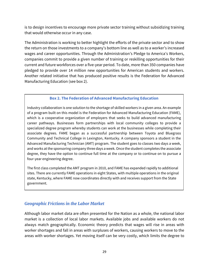is to design incentives to encourage more private sector training without subsidizing training that would otherwise occur in any case.

The Administration is working to better highlight the efforts of the private sector and to show the return on those investments to a company's bottom line as well as to a worker's increased wages and career opportunities. Through the Administration's Pledge to America's Workers, companies commit to provide a given number of training or reskilling opportunities for their current and future workforces over a five-year period. To date, more than 350 companies have pledged to provide over 14 million new opportunities for American students and workers. Another related initiative that has produced positive results is the Federation for Advanced Manufacturing Education (see box 2).

#### **Box 2. The Federation of Advanced Manufacturing Education**

Industry collaboration is one solution to the shortage of skilled workers in a given area. An example of a program built on this model is the Federation for Advanced Manufacturing Education (FAME), which is a cooperative organization of employers that seeks to build advanced manufacturing career pathways. Businesses form partnerships with local community colleges to provide a specialized degree program whereby students can work at the businesses while completing their associate degrees. FAME began as a successful partnership between Toyota and Bluegrass Community and Technical College in Lexington, Kentucky. A company sponsors a student in the Advanced Manufacturing Technician (AMT) program. The student goes to classes two days a week, and works at the sponsoring company three days a week. Once the student completes the associate degree, they have the option to continue full time at the company or to continue on to pursue a four-year engineering degree.

The first class completed the AMT program in 2010, and FAME has expanded rapidly to additional sites. There are currently FAME operations in eight States, with multiple operations in the original state, Kentucky, where FAME now coordinates directly with and receives support from the State government.

#### *Geographic Frictions in the Labor Market*

Although labor market data are often presented for the Nation as a whole, the national labor market is a collection of local labor markets. Available jobs and available workers do not always match geographically. Economic theory predicts that wages will rise in areas with worker shortages and fall in areas with surpluses of workers, causing workers to move to the areas with worker shortages. Yet moving itself can be very costly, which limits the degree to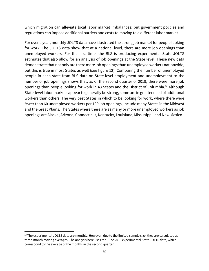which migration can alleviate local labor market imbalances; but government policies and regulations can impose additional barriers and costs to moving to a different labor market.

For over a year, monthly JOLTS data have illustrated the strong job market for people looking for work. The JOLTS data show that at a national level, there are more job openings than unemployed workers. For the first time, the BLS is producing experimental State JOLTS estimates that also allow for an analysis of job openings at the State level. These new data demonstrate that not only are there more job openings than unemployed workers nationwide, but this is true in most States as well (see figure 12). Comparing the number of unemployed people in each state from BLS data on State-level employment and unemployment to the number of job openings shows that, as of the second quarter of 2019, there were more job openings than people looking for work in 43 States and the District of Columbia.<sup>20</sup> Although State-level labor markets appear to generally be strong, some are in greater need of additional workers than others. The very best States in which to be looking for work, where there were fewer than 60 unemployed workers per 100 job openings, include many States in the Midwest and the Great Plains. The States where there are as many or more unemployed workers as job openings are Alaska, Arizona, Connecticut, Kentucky, Louisiana, Mississippi, and New Mexico.

 $20$  The experimental JOLTS data are monthly. However, due to the limited sample size, they are calculated as three-month moving averages. The analysis here uses the June 2019 experimental State JOLTS data, which correspond to the average of the months in the second quarter.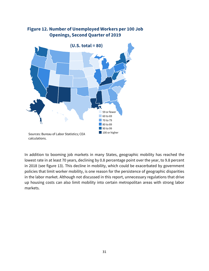

## **Figure 12. Number of Unemployed Workers per 100 Job Openings, Second Quarter of 2019**

In addition to booming job markets in many States, geographic mobility has reached the lowest rate in at least 70 years, declining by 0.8 percentage point over the year, to 9.8 percent in 2018 (see figure 13). This decline in mobility, which could be exacerbated by government policies that limit worker mobility, is one reason for the persistence of geographic disparities in the labor market. Although not discussed in this report, unnecessary regulations that drive up housing costs can also limit mobility into certain metropolitan areas with strong labor markets.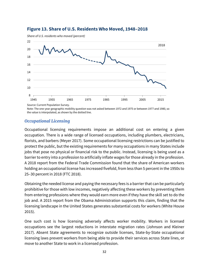



Source: Current Population Survey.

Note: The one-year geographic mobility question was not asked between 1972 and 1975 or between 1977 and 1980, so the value is interpolated, as shown by the dotted line.

#### *Occupational Licensing*

Occupational licensing requirements impose an additional cost on entering a given occupation. There is a wide range of licensed occupations, including plumbers, electricians, florists, and barbers (Meyer 2017). Some occupational licensing restrictions can be justified to protect the public, but the existing requirements for many occupations in many States include jobs that pose no physical or financial risk to the public. Instead, licensing is being used as a barrier to entry into a profession to artificially inflate wages for those already in the profession. A 2018 report from the Federal Trade Commission found that the share of American workers holding an occupational license has increased fivefold, from less than 5 percent in the 1950s to 25–30 percent in 2018 (FTC 2018).

Obtaining the needed license and paying the necessary fees is a barrier that can be particularly prohibitive for those with low incomes, negatively affecting these workers by preventing them from entering professions where they would earn more even if they have the skill set to do the job and. A 2015 report from the Obama Administration supports this claim, finding that the licensing landscape in the United States generates substantial costs for workers (White House 2015).

One such cost is how licensing adversely affects worker mobility. Workers in licensed occupations see the largest reductions in interstate migration rates (Johnson and Kleiner 2017). Absent State agreements to recognize outside licenses, State-by-State occupational licensing laws prevent workers from being able to provide their services across State lines, or move to another State to work in a licensed profession.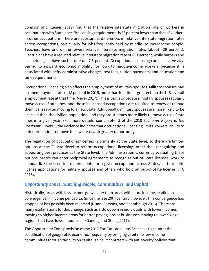Johnson and Kleiner (2017) find that the relative interstate migration rate of workers in occupations with State-specific licensing requirements is 36 percent lower than that of workers in other occupations. There are substantial differences in relative interstate migration rates across occupations, particularly for jobs frequently held by middle- to low-income people. Teachers have one of the lowest relative interstate migration rates (about –39 percent). Electricians have a reduced relative interstate migration rate of –13 percent, while barbers and cosmetologists have such a rate of –7.5 percent. Occupational licensing can also serve as a barrier to upward economic mobility for low- to middle-income workers because it is associated with hefty administrative charges, test fees, tuition payments, and education and time requirements.

Occupational licensing also effects the employment of military spouses. Military spouses had an unemployment rate of 18 percent in 2015, more than four times greater than the U.S. overall employment rate at that time (Meyer 2017). This is partially because military spouses regularly move across State lines, and those in licensed occupations are required to renew or reissue their licenses after moving to a new State. Additionally, military spouses are more likely to be licensed than the civilian population, and they are 10 times more likely to move across State lines in a given year. (For more details, see chapter 3 of the 2018 *Economic Report to the President*.) Overall, the evidence indicates that occupational licensing limits workers' ability to enter professions or move to new areas with greater opportunity.

The regulation of occupational licenses is primarily at the State level, so there are limited options at the Federal level to reform occupational licensing, other than recognizing and supporting best practices at the State level. The Administration is currently evaluating these options. States can enter reciprocal agreements to recognize out-of-State licenses, work to standardize the licensing requirements for a given occupation across States, and expedite license applications for military spouses and others who hold an out-of-State license (FTC 2018).

#### *Opportunity Zones: Matching People, Communities, and Capital*

Historically, areas with less income grew faster than areas with more income, leading to convergence in income per capita. Since the late 20th century, however, this convergence has stopped or has possibly been reversed (Nunn, Parsons, and Shambaugh 2016). There are many explanations for this change, such as a slowdown in individuals with lower incomes moving to higher-income areas for better-paying jobs or businesses moving to lower-wage regions that have lower input costs (Ganong and Shoag 2017).

The Opportunity Zone provision of the 2017 Tax Cuts and Jobs Act seeks to counter the solidification of geographic economic inequality by bringing capital to low-income communities through tax cuts on capital gains. It contrasts with antipoverty policies that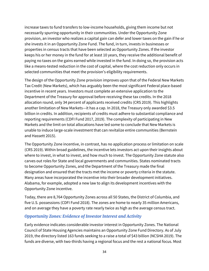increase taxes to fund transfers to low-income households, giving them income but not necessarily spurring opportunity in their communities. Under the Opportunity Zone provision, an investor who realizes a capital gain can defer and lower taxes on the gain if he or she invests it in an Opportunity Zone Fund. The fund, in turn, invests in businesses or properties in census tracts that have been selected as Opportunity Zones. If the investor keeps his or her money in the fund for at least 10 years, they receive the additional benefit of paying no taxes on the gains earned while invested in the fund. In doing so, the provision acts like a means-tested reduction in the cost of capital, where the cost reduction only occurs in selected communities that meet the provision's eligibility requirements.

The design of the Opportunity Zone provision improves upon that of the Federal New Markets Tax Credit (New Markets), which has arguably been the most significant Federal place-based incentive in recent years. Investors must complete an extensive application to the Department of the Treasury for approval before receiving these tax credits. In the 2018 allocation round, only 34 percent of applicants received credits (CRS 2019). This highlights another limitation of New Markets—it has a cap. In 2018, the Treasury only awarded \$3.5 billion in credits. In addition, recipients of credits must adhere to substantial compliance and reporting requirements (CDFI Fund 2017, 2019). The complexity of participating in New Markets and the limit on total allocations have led some to conclude that New Markets is unable to induce large-scale investment that can revitalize entire communities (Bernstein and Hassett 2015).

The Opportunity Zone incentive, in contrast, has no application process or limitation on scale (CRS 2019). Within broad guidelines, the incentive lets investors act upon their insights about where to invest, in what to invest, and how much to invest. The Opportunity Zone statute also carves out roles for State and local governments and communities. States nominated tracts to become Opportunity Zones, and the Department of the Treasury made the final designation and ensured that the tracts met the income or poverty criteria in the statute. Many areas have incorporated the incentive into their broader development initiatives. Alabama, for example, adopted a new law to align its development incentives with the Opportunity Zone incentive.

Today, there are 8,764 Opportunity Zones across all 50 States, the District of Columbia, and five U.S. possessions (CDFI Fund 2018). The zones are home to nearly 35 million Americans, and on average they have a poverty rate nearly twice as high as the average census tract.

#### *Opportunity Zones: Evidence of Investor Interest and Activity*

Early evidence indicates considerable investor interest in Opportunity Zones. The National Council of State Housing Agencies maintains an Opportunity Zone Fund Directory. As of July 2019, the directory listed 163 funds seeking to a raise a total of \$43 billion (NCSHA 2019). The funds are diverse, with two-thirds having a regional focus and the rest a national focus. Most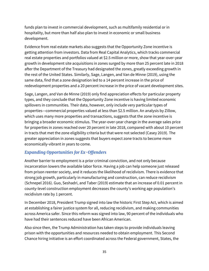funds plan to invest in commercial development, such as multifamily residential or in hospitality, but more than half also plan to invest in economic or small business development.

Evidence from real estate markets also suggests that the Opportunity Zone incentive is getting attention from investors. Data from Real Capital Analytics, which tracks commercial real estate properties and portfolios valued at \$2.5 million or more, show that year-over-year growth in development site acquisitions in zones surged by more than 25 percent late in 2018 after the Department of the Treasury had designated the zones, greatly exceeding growth in the rest of the United States. Similarly, Sage, Langen, and Van de Minne (2019), using the same data, find that a zone designation led to a 14 percent increase in the price of redevelopment properties and a 20 percent increase in the price of vacant development sites.

Sage, Langen, and Van de Minne (2019) only find appreciation effects for particular property types, and they conclude that the Opportunity Zone incentive is having limited economic spillovers in communities. Their data, however, only include very particular types of properties—commercial properties valued at less than \$2.5 million. An analysis by Zillow, which uses many more properties and transactions, suggests that the zone incentive is bringing a broader economic stimulus. The year-over-year change in the average sales price for properties in zones reached over 20 percent in late 2018, compared with about 10 percent in tracts that met the zone eligibility criteria but that were not selected (Casey 2019). The greater appreciation in zones suggests that buyers expect zone tracts to become more economically-vibrant in years to come.

### *Expanding Opportunities for Ex-Offenders*

Another barrier to employment is a prior criminal conviction, and not only because incarceration lowers the available labor force. Having a job can help someone just released from prison reenter society, and it reduces the likelihood of recidivism. There is evidence that strong job growth, particularly in manufacturing and construction, can reduce recidivism (Schnepel 2016). Guo, Seshadri, and Taber (2019) estimate that an increase of 0.01 percent in county-level construction employment decreases the county's working age population's recidivism rate by 1 percent.

In December 2018, President Trump signed into law the historic First Step Act, which is aimed at establishing a fairer justice system for all, reducing recidivism, and making communities across America safer. Since this reform was signed into law, 90 percent of the individuals who have had their sentences reduced have been African American.

Also since then, the Trump Administration has taken steps to provide individuals leaving prison with the opportunities and resources needed to obtain employment. This Second Chance hiring initiative is an effort coordinated across the Federal government, States, the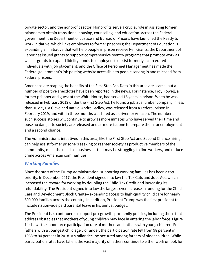private sector, and the nonprofit sector. Nonprofits serve a crucial role in assisting former prisoners to obtain transitional housing, counseling, and education. Across the Federal government, the Department of Justice and Bureau of Prisons have launched the Ready to Work Initiative, which links employers to former prisoners; the Department of Education is expanding an initiative that will help people in prison receive Pell Grants; the Department of Labor has issued grants to support comprehensive reentry programs that promote work as well as grants to expand fidelity bonds to employers to assist formerly incarcerated individuals with job placement; and the Office of Personnel Management has made the Federal government's job posting website accessible to people serving in and released from Federal prisons.

Americans are reaping the benefits of the First Step Act. Data in this area are scarce, but a number of positive anecdotes have been reported in the news. For instance, Troy Powell, a former prisoner and guest at the White House, had served 16 years in prison. When he was released in February 2019 under the First Step Act, he found a job at a lumber company in less than 10 days. A Cleveland native, Andre Badley, was released from a Federal prison in February 2019, and within three months was hired as a driver for Amazon. The number of such success stories will continue to grow as more inmates who have served their time and pose no danger to society are released and as more is done to prepare them for employment and a second chance.

The Administration's initiatives in this area, like the First Step Act and Second Chance hiring, can help assist former prisoners seeking to reenter society as productive members of the community, meet the needs of businesses that may be struggling to find workers, and reduce crime across American communities.

#### *Working Families*

Since the start of the Trump Administration, supporting working families has been a top priority. In December 2017, the President signed into law the Tax Cuts and Jobs Act, which increased the reward for working by doubling the Child Tax Credit and increasing its refundability. The President signed into law the largest-ever increase in funding for the Child Care and Development Block Grants—expanding access to high-quality child care for nearly 800,000 families across the country. In addition, President Trump was the first president to include nationwide paid parental leave in his annual budget.

The President has continued to support pro-growth, pro-family policies, including those that address obstacles that mothers of young children may face in entering the labor force. Figure 14 shows the labor force participation rate of mothers and fathers with young children. For fathers with a youngest child age 5 or under, the participation rate fell from 98 percent in 1968 to 94 percent in 2018. A similar decline occurred among fathers of older children. While participation rates have fallen, the vast majority of fathers continue to either work or look for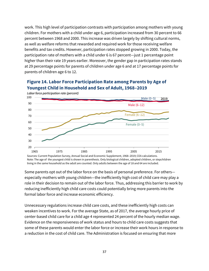work. This high level of participation contrasts with participation among mothers with young children. For mothers with a child under age 6, participation increased from 30 percent to 66 percent between 1968 and 2000. This increase was driven largely by shifting cultural norms, as well as welfare reforms that rewarded and required work for those receiving welfare benefits and tax credits. However, participation rates stopped growing in 2000. Today, the participation rate of mothers with a child under 6 is 67 percent—just 1 percentage point higher than their rate 19 years earlier. Moreover, the gender gap in participation rates stands at 29 percentage points for parents of children under age 6 and at 17 percentage points for parents of children age 6 to 12.

## **Figure 14. Labor Force Participation Rate among Parents by Age of Youngest Child in Household and Sex of Adult, 1968–2019**



Sources: Current Population Survey, Annual Social and Economic Supplement, 1968–2019; CEA calculations. Note: The age of the youngest child is shown in parenthesis. Only biological children, adopted children, or stepchildren living in the same household as the adult are counted. Only adults between the age of 18 and 64 are included.

Some parents opt out of the labor force on the basis of personal preference. For others especially mothers with young children—the inefficiently high cost of child care may play a role in their decision to remain out of the labor force. Thus, addressing this barrier to work by reducing inefficiently high child care costs could potentially bring more parents into the formal labor force and increase economic efficiency.

Unnecessary regulations increase child care costs, and these inefficiently high costs can weaken incentives to work. For the average State, as of 2017, the average hourly price of center-based child care for a child age 4 represented 24 percent of the hourly median wage. Evidence on the responsiveness of work status and hours to child care costs suggests that some of these parents would enter the labor force or increase their work hours in response to a reduction in the cost of child care. The Administration is focused on ensuring that more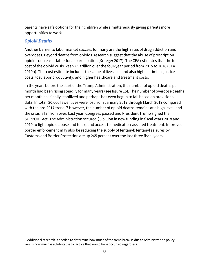parents have safe options for their children while simultaneously giving parents more opportunities to work.

### *Opioid Deaths*

 $\overline{\phantom{a}}$ 

Another barrier to labor market success for many are the high rates of drug addiction and overdoses. Beyond deaths from opioids, research suggest that the abuse of prescription opioids decreases labor force participation (Krueger 2017). The CEA estimates that the full cost of the opioid crisis was \$2.5 trillion over the four-year period from 2015 to 2018 (CEA 2019b). This cost estimate includes the value of lives lost and also higher criminal justice costs, lost labor productivity, and higher healthcare and treatment costs.

In the years before the start of the Trump Administration, the number of opioid deaths per month had been rising steadily for many years (see figure 15). The number of overdose deaths per month has finally stabilized and perhaps has even begun to fall based on provisional data. In total, 30,000 fewer lives were lost from January 2017 through March 2019 compared with the pre-2017 trend.<sup>21</sup> However, the number of opioid deaths remains at a high level, and the crisis is far from over. Last year, Congress passed and President Trump signed the SUPPORT Act. The Administration secured \$6 billion in new funding in fiscal years 2018 and 2019 to fight opioid abuse and to expand access to medication-assisted treatment. Improved border enforcement may also be reducing the supply of fentanyl; fentanyl seizures by Customs and Border Protection are up 265 percent over the last three fiscal years.

<sup>&</sup>lt;sup>21</sup> Additional research is needed to determine how much of the trend break is due to Administration policy versus how much is attributable to factors that would have occurred regardless.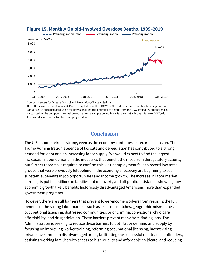

#### **Figure 15. Monthly Opioid-Involved Overdose Deaths, 1999–2019**

Sources: Centers for Disease Control and Prevention; CEA calculations. Note: Data from before January 2018 are compiled from the CDC WONDER database, and monthly data beginning in January 2018 are calculated using the provisional reported number of deaths from the CDC. Preinauguration trend is calculated for the compound annual growth rate on a sample period from January 1999 through January 2017, with forecasted levels reconstructed from projected rates.

## **Conclusion**

The U.S. labor market is strong, even as the economy continues its record expansion. The Trump Administration's agenda of tax cuts and deregulation has contributed to a strong demand for labor and an increasing labor supply. We would expect to find the largest increases in labor demand in the industries that benefit the most from deregulatory actions, but further research is required to confirm this. As unemployment falls to record low rates, groups that were previously left behind in the economy's recovery are beginning to see substantial benefits in job opportunities and income growth. The increase in labor market earnings is pulling millions of families out of poverty and off public assistance, showing how economic growth likely benefits historically disadvantaged Americans more than expanded government programs.

However, there are still barriers that prevent lower-income workers from realizing the full benefits of the strong labor market—such as skills mismatches, geographic mismatches, occupational licensing, distressed communities, prior criminal convictions, child care affordability, and drug addiction. These barriers prevent many from finding jobs. The Administration is seeking to reduce these barriers to both labor demand and supply by focusing on improving worker training, reforming occupational licensing, incentivizing private investment in disadvantaged areas, facilitating the successful reentry of ex-offenders, assisting working families with access to high-quality and affordable childcare, and reducing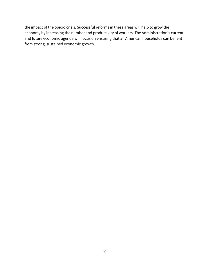the impact of the opioid crisis. Successful reforms in these areas will help to grow the economy by increasing the number and productivity of workers. The Administration's current and future economic agenda will focus on ensuring that all American households can benefit from strong, sustained economic growth.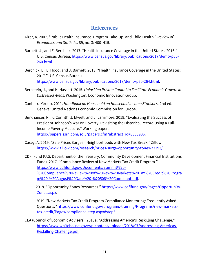## References

- Aizer, A. 2007. "Public Health Insurance, Program Take-Up, and Child Health." *Review of Economics and Statistics* 89, no. 3: 400–415.
- Barnett, J., and E. Berchick. 2017. "Health Insurance Coverage in the United States: 2016." U.S. Census Bureau[. https://www.census.gov/library/publications/2017/demo/p60-](https://www.census.gov/library/publications/2017/demo/p60-260.html) [260.html.](https://www.census.gov/library/publications/2017/demo/p60-260.html)
- Berchick, E., E. Hood, and J. Barnett. 2018. "Health Insurance Coverage in the United States: 2017." U.S. Census Bureau. [https://www.census.gov/library/publications/2018/demo/p60-264.html.](https://www.census.gov/library/publications/2018/demo/p60-264.html)
- Bernstein, J., and K. Hassett. 2015. *Unlocking Private Capital to Facilitate Economic Growth in Distressed Areas.* Washington: Economic Innovation Group.
- Canberra Group. 2011. *Handbook on Household on Household Income Statistics*, 2nd ed. Geneva: United Nations Economic Commission for Europe.
- Burkhauser, R., K. Corinth, J. Elwell, and J. Larrimore. 2019. "Evaluating the Success of President Johnson's War on Poverty: Revisiting the Historical Record Using a Full-Income Poverty Measure." Working paper. [https://papers.ssrn.com/sol3/papers.cfm?abstract\\_id=3353906.](https://papers.ssrn.com/sol3/papers.cfm?abstract_id=3353906)
- Casey, A. 2019. "Sale Prices Surge in Neighborhoods with New Tax Break." Zillow. [https://www.zillow.com/research/prices-surge-opportunity-zones-23393/.](https://www.zillow.com/research/prices-surge-opportunity-zones-23393/)
- CDFI Fund (U.S. Department of the Treasury, Community Development Financial Institutions Fund). 2017. "Compliance Review of New Markets Tax Credit Program." [https://www.cdfifund.gov/Documents/Summit%20-](https://www.cdfifund.gov/Documents/Summit%20-%20Compliance%20Review%20of%20New%20Markets%20Tax%20Credit%20Program%20-%20August%20Date%20-%20508%20Compliant.pdf) [%20Compliance%20Review%20of%20New%20Markets%20Tax%20Credit%20Progra](https://www.cdfifund.gov/Documents/Summit%20-%20Compliance%20Review%20of%20New%20Markets%20Tax%20Credit%20Program%20-%20August%20Date%20-%20508%20Compliant.pdf) [m%20-%20August%20Date%20-%20508%20Compliant.pdf.](https://www.cdfifund.gov/Documents/Summit%20-%20Compliance%20Review%20of%20New%20Markets%20Tax%20Credit%20Program%20-%20August%20Date%20-%20508%20Compliant.pdf)
- *———.* 2018. "Opportunity Zones Resources." [https://www.cdfifund.gov/Pages/Opportunity-](https://www.cdfifund.gov/Pages/Opportunity-Zones.aspx)[Zones.aspx.](https://www.cdfifund.gov/Pages/Opportunity-Zones.aspx)
- ———. 2019. "New Markets Tax Credit Program Compliance Monitoring: Frequently Asked Questions." [https://www.cdfifund.gov/programs-training/Programs/new-markets](https://www.cdfifund.gov/programs-training/Programs/new-markets-tax-credit/Pages/compliance-step.aspx#step5)[tax-credit/Pages/compliance-step.aspx#step5.](https://www.cdfifund.gov/programs-training/Programs/new-markets-tax-credit/Pages/compliance-step.aspx#step5)
- CEA (Council of Economic Advisers). 2018a. "Addressing America's Reskilling Challenge." [https://www.whitehouse.gov/wp-content/uploads/2018/07/Addressing-Americas-](https://www.whitehouse.gov/wp-content/uploads/2018/07/Addressing-Americas-Reskilling-Challenge.pdf)[Reskilling-Challenge.pdf.](https://www.whitehouse.gov/wp-content/uploads/2018/07/Addressing-Americas-Reskilling-Challenge.pdf)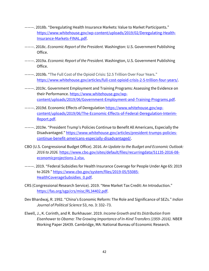- *———.* 2018b. "Deregulating Health Insurance Markets: Value to Market Participants." [https://www.whitehouse.gov/wp-content/uploads/2019/02/Deregulating-Health-](https://www.whitehouse.gov/wp-content/uploads/2019/02/Deregulating-Health-Insurance-Markets-FINAL.pdf)[Insurance-Markets-FINAL.pdf.](https://www.whitehouse.gov/wp-content/uploads/2019/02/Deregulating-Health-Insurance-Markets-FINAL.pdf)
- *———.* 2018c. *Economic Report of the President.* Washington: U.S. Government Publishing Office.
- *———.* 2019a. *Economic Report of the President.* Washington, U.S. Government Publishing Office.
- *———.* 2019b. "The Full Cost of the Opioid Crisis: \$2.5 Trillion Over Four Years." [https://www.whitehouse.gov/articles/full-cost-opioid-crisis-2-5-trillion-four-years/.](https://www.whitehouse.gov/articles/full-cost-opioid-crisis-2-5-trillion-four-years/)
- *———.* 2019c. Government Employment and Training Programs: Assessing the Evidence on their Performance[. https://www.whitehouse.gov/wp](https://www.whitehouse.gov/wp-content/uploads/2019/06/Government-Employment-and-Training-Programs.pdf)[content/uploads/2019/06/Government-Employment-and-Training-Programs.pdf.](https://www.whitehouse.gov/wp-content/uploads/2019/06/Government-Employment-and-Training-Programs.pdf)
- *———.* 2019d. Economic Effects of Deregulation [https://www.whitehouse.gov/wp](https://www.whitehouse.gov/wp-content/uploads/2019/06/The-Economic-Effects-of-Federal-Deregulation-Interim-Report.pdf)[content/uploads/2019/06/The-Economic-Effects-of-Federal-Deregulation-Interim-](https://www.whitehouse.gov/wp-content/uploads/2019/06/The-Economic-Effects-of-Federal-Deregulation-Interim-Report.pdf)[Report.pdf.](https://www.whitehouse.gov/wp-content/uploads/2019/06/The-Economic-Effects-of-Federal-Deregulation-Interim-Report.pdf)
- *———.* 2019e. "President Trump's Policies Continue to Benefit All Americans, Especially the Disadvantaged." [https://www.whitehouse.gov/articles/president-trumps-policies](https://www.whitehouse.gov/articles/president-trumps-policies-continue-benefit-americans-especially-disadvantaged/)[continue-benefit-americans-especially-disadvantaged/.](https://www.whitehouse.gov/articles/president-trumps-policies-continue-benefit-americans-especially-disadvantaged/)
- CBO (U.S. Congressional Budget Office). 2016. *An Update to the Budget and Economic Outlook: 2016 to 2026.* [https://www.cbo.gov/sites/default/files/recurringdata/51135-2016-08](https://www.cbo.gov/sites/default/files/recurringdata/51135-2016-08-economicprojections-2.xlsx) [economicprojections-2.xlsx.](https://www.cbo.gov/sites/default/files/recurringdata/51135-2016-08-economicprojections-2.xlsx)
- *———.* 2019. "Federal Subsidies for Health Insurance Coverage for People Under Age 65: 2019 to 2029." [https://www.cbo.gov/system/files/2019-05/55085-](https://www.cbo.gov/system/files/2019-05/55085-HealthCoverageSubsidies_0.pdf) [HealthCoverageSubsidies\\_0.pdf.](https://www.cbo.gov/system/files/2019-05/55085-HealthCoverageSubsidies_0.pdf)
- CRS (Congressional Research Service). 2019. "New Market Tax Credit: An Introduction." [https://fas.org/sgp/crs/misc/RL34402.pdf.](https://fas.org/sgp/crs/misc/RL34402.pdf)
- Dev Bhardwaj, R. 1992. "China's Economic Reform: The Role and Significance of SEZs." *Indian Journal of Political Science* 53, no. 3: 332–73.
- Elwell, J., K. Corinth, and R. Burkhauser. 2019. *Income Growth and Its Distribution from Eisenhower to Obama: The Growing Importance of In-Kind Transfers (1959–2016).* NBER Working Paper 26439. Cambridge, MA: National Bureau of Economic Research.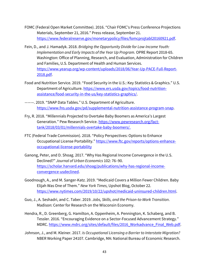- FOMC (Federal Open Market Committee). 2016. "Chair FOMC's Press Conference Projections Materials, September 21, 2016." Press release, September 21. [https://www.federalreserve.gov/monetarypolicy/files/fomcprojtabl20160921.pdf.](https://www.federalreserve.gov/monetarypolicy/files/fomcprojtabl20160921.pdf)
- Fein, D., and J. Hamadyk. 2018. *Bridging the Opportunity Divide for Low-Income Youth: Implementation and Early Impacts of the Year Up Program.* OPRE Report 2018-65. Washington: Office of Planning, Research, and Evaluation, Administration for Children and Families, U.S. Department of Health and Human Services. [https://www.yearup.org/wp-content/uploads/2018/06/Year-Up-PACE-Full-Report-](https://www.yearup.org/wp-content/uploads/2018/06/Year-Up-PACE-Full-Report-2018.pdf)[2018.pdf.](https://www.yearup.org/wp-content/uploads/2018/06/Year-Up-PACE-Full-Report-2018.pdf)
- Food and Nutrition Service. 2019. "Food Security in the U.S.: Key Statistics & Graphics." U.S. Department of Agriculture. [https://www.ers.usda.gov/topics/food-nutrition](https://www.ers.usda.gov/topics/food-nutrition-assistance/food-security-in-the-us/key-statistics-graphics/)[assistance/food-security-in-the-us/key-statistics-graphics/.](https://www.ers.usda.gov/topics/food-nutrition-assistance/food-security-in-the-us/key-statistics-graphics/)
- *———.* 2019. "SNAP Data Tables." U.S. Department of Agriculture. [https://www.fns.usda.gov/pd/supplemental-nutrition-assistance-program-snap.](https://www.fns.usda.gov/pd/supplemental-nutrition-assistance-program-snap)
- Fry, R. 2018. "Millennials Projected to Overtake Baby Boomers as America's Largest Generation." Pew Research Service. [https://www.pewresearch.org/fact](https://www.pewresearch.org/fact-tank/2018/03/01/millennials-overtake-baby-boomers/)[tank/2018/03/01/millennials-overtake-baby-boomers/.](https://www.pewresearch.org/fact-tank/2018/03/01/millennials-overtake-baby-boomers/)
- FTC (Federal Trade Commission). 2018. "Policy Perspectives: Options to Enhance Occupational License Portability." [https://www.ftc.gov/reports/options-enhance](https://www.ftc.gov/reports/options-enhance-occupational-license-portability)[occupational-license-portability](https://www.ftc.gov/reports/options-enhance-occupational-license-portability)
- Ganong, Peter, and D. Shoag. 2017. "Why Has Regional Income Convergence in the U.S. Declined?" *Journal of Urban Economics* 102: 76–90. [https://scholar.harvard.edu/shoag/publications/why-has-regional-income](https://scholar.harvard.edu/shoag/publications/why-has-regional-income-convergence-usdeclined)[convergence-usdeclined.](https://scholar.harvard.edu/shoag/publications/why-has-regional-income-convergence-usdeclined)
- Goodnough, A., and M. Sanger-Katz. 2019. "Medicaid Covers a Million Fewer Children. Baby Elijah Was One of Them." *New York Times,* Upshot Blog, October 22. [https://www.nytimes.com/2019/10/22/upshot/medicaid-uninsured-children.html.](https://www.nytimes.com/2019/10/22/upshot/medicaid-uninsured-children.html)
- Guo, J., A. Seshadri, and C. Taber. 2019. *Jobs, Skills, and the Prison-to-Work Transition*. Madison: Center for Research on the Wisconsin Economy.
- Hendra, R., D. Greenberg, G. Hamilton, A. Oppenheim, A. Pennington, K. Schaberg, and B. Tessler. 2016. "Encouraging Evidence on a Sector-Focused Advancement Strategy." MDRC. [https://www.mdrc.org/sites/default/files/2016\\_Workadvance\\_Final\\_Web.pdf.](https://www.mdrc.org/sites/default/files/2016_Workadvance_Final_Web.pdf)
- Johnson, J., and M. Kleiner. 2017. *Is Occupational Licensing a Barrier to Interstate Migration?* NBER Working Paper 24107. Cambridge, MA: National Bureau of Economic Research.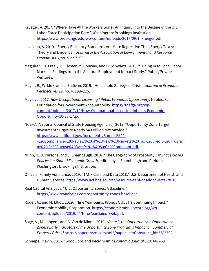- Krueger, A. 2017. "Where Have All the Workers Gone? An Inquiry into the Decline of the U.S. Labor Force Participation Rate." Washington: Brookings Institution. [https://www.brookings.edu/wp-content/uploads/2017/09/1\\_krueger.pdf](https://www.brookings.edu/wp-content/uploads/2017/09/1_krueger.pdf)
- Levinson, A. 2019. "Energy Efficiency Standards Are More Regressive Than Energy Taxes: Theory and Evidence." *Journal of the Association of Environmental and Resource Economists* 6, no. S1: S7–S36.
- Maguire S., J. Freely, C. Clymer, M. Conway, and D. Schwartz. 2010. "Tuning In to Local Labor Markets: Findings from the Sectoral Employment Impact Study." Public/Private Ventures.
- Meyer, B., W. Mok, and J. Sullivan. 2015. "Household Surveys in Crisis." *Journal of Economic Perspectives* 29, no. 4: 199–226.
- Meyer, J. 2017. *How Occupational Licensing Inhibits Economic Opportunity.* Naples, FL: Foundation for Government Accountability. [https://thefga.org/wp](https://thefga.org/wp-content/uploads/2017/10/How-Occupational-Licensing-Inhibits-Economic-Opportunity-10-23-17.pdf)[content/uploads/2017/10/How-Occupational-Licensing-Inhibits-Economic-](https://thefga.org/wp-content/uploads/2017/10/How-Occupational-Licensing-Inhibits-Economic-Opportunity-10-23-17.pdf)[Opportunity-10-23-17.pdf.](https://thefga.org/wp-content/uploads/2017/10/How-Occupational-Licensing-Inhibits-Economic-Opportunity-10-23-17.pdf)
- NCSHA (National Council of State Housing Agencies). 2019. "Opportunity Zone Target Investment Surges to Nearly \$43 Billion Nationwide." [https://www.cdfifund.gov/Documents/Summit%20-](https://www.cdfifund.gov/Documents/Summit%20-%20Compliance%20Review%20of%20New%20Markets%20Tax%20Credit%20Program%20-%20August%20Date%20-%20508%20Compliant.pdf) [%20Compliance%20Review%20of%20New%20Markets%20Tax%20Credit%20Progra](https://www.cdfifund.gov/Documents/Summit%20-%20Compliance%20Review%20of%20New%20Markets%20Tax%20Credit%20Program%20-%20August%20Date%20-%20508%20Compliant.pdf) [m%20-%20August%20Date%20-%20508%20Compliant.pdf.](https://www.cdfifund.gov/Documents/Summit%20-%20Compliance%20Review%20of%20New%20Markets%20Tax%20Credit%20Program%20-%20August%20Date%20-%20508%20Compliant.pdf)
- Nunn, R., J. Parsons, and J. Shambaugh. 2018. "The Geography of Prosperity." In *Place-Based Policies for Shared Economic Growth*, edited by J. Shambaugh and R. Nunn. Washington: Brookings Institution.
- Office of Family Assistance. 2019. "TANF Caseload Data 2018." U.S. Department of Health and Human Services. [https://www.acf.hhs.gov/ofa/resource/tanf-caseload-data-2018.](https://www.acf.hhs.gov/ofa/resource/tanf-caseload-data-2018)
- Real Capital Analytics. "U.S. Opportunity Zones: A Baseline." <https://www.rcanalytics.com/opportunity-zones-baseline/>
- Roder, A., and M. Elliot. 2019. "Nine Year Gains: Project QUEST's Continuing Impact." Economic Mobility Corporation. [https://economicmobilitycorp.org/wp](https://economicmobilitycorp.org/wp-content/uploads/2019/04/NineYearGains_web.pdf)[content/uploads/2019/04/NineYearGains\\_web.pdf.](https://economicmobilitycorp.org/wp-content/uploads/2019/04/NineYearGains_web.pdf)
- Sage, A., M. Langen., and A. Van de Minne. 2019. *Where Is the Opportunity in Opportunity Zones? Early Indicators of the Opportunity Zone Program's Impact on Commercial Property Prices?* [https://papers.ssrn.com/sol3/papers.cfm?abstract\\_id=3385502.](https://papers.ssrn.com/sol3/papers.cfm?abstract_id=3385502)

Schnepel, Kevin. 2016. "Good Jobs and Recidivism." *Economic Journal* 128: 447–69.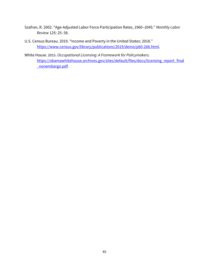- Szafran, R. 2002. "Age-Adjusted Labor Force Participation Rates, 1960–2045." *Monthly Labor Review* 125: 25–38.
- U.S. Census Bureau. 2019. "Income and Poverty in the United States: 2018." [https://www.census.gov/library/publications/2019/demo/p60-266.html.](https://www.census.gov/library/publications/2019/demo/p60-266.html)
- White House. 2015. *Occupational Licensing: A Framework for Policymakers.* [https://obamawhitehouse.archives.gov/sites/default/files/docs/licensing\\_report\\_final](https://obamawhitehouse.archives.gov/sites/default/files/docs/licensing_report_final_nonembargo.pdf) [\\_nonembargo.pdf.](https://obamawhitehouse.archives.gov/sites/default/files/docs/licensing_report_final_nonembargo.pdf)